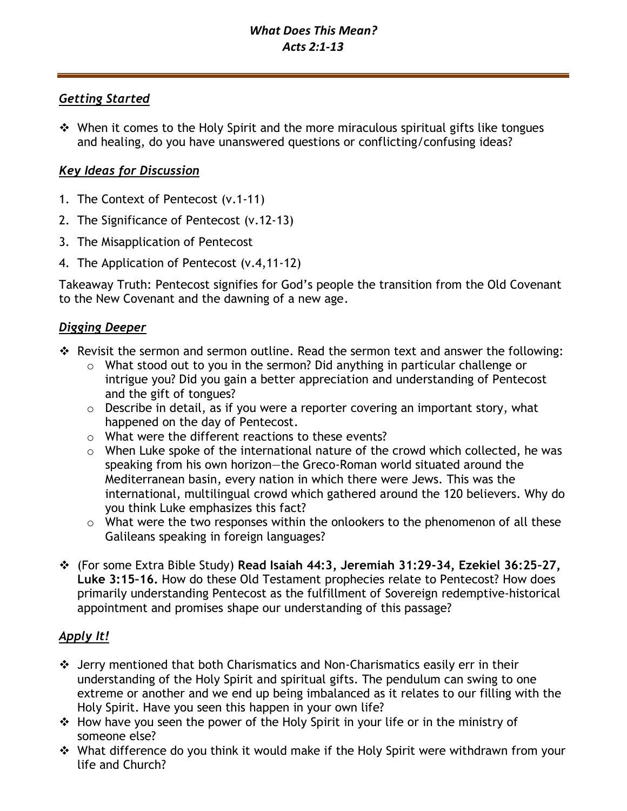## *Getting Started*

❖ When it comes to the Holy Spirit and the more miraculous spiritual gifts like tongues and healing, do you have unanswered questions or conflicting/confusing ideas?

# *Key Ideas for Discussion*

- 1. The Context of Pentecost (v.1-11)
- 2. The Significance of Pentecost (v.12-13)
- 3. The Misapplication of Pentecost
- 4. The Application of Pentecost (v.4,11-12)

Takeaway Truth: Pentecost signifies for God's people the transition from the Old Covenant to the New Covenant and the dawning of a new age.

## *Digging Deeper*

- ❖ Revisit the sermon and sermon outline. Read the sermon text and answer the following:
	- o What stood out to you in the sermon? Did anything in particular challenge or intrigue you? Did you gain a better appreciation and understanding of Pentecost and the gift of tongues?
	- o Describe in detail, as if you were a reporter covering an important story, what happened on the day of Pentecost.
	- o What were the different reactions to these events?
	- o When Luke spoke of the international nature of the crowd which collected, he was speaking from his own horizon—the Greco-Roman world situated around the Mediterranean basin, every nation in which there were Jews. This was the international, multilingual crowd which gathered around the 120 believers. Why do you think Luke emphasizes this fact?
	- $\circ$  What were the two responses within the onlookers to the phenomenon of all these Galileans speaking in foreign languages?
- ❖ (For some Extra Bible Study) **Read Isaiah 44:3, Jeremiah 31:29-34, Ezekiel 36:25–27, Luke 3:15–16.** How do these Old Testament prophecies relate to Pentecost? How does primarily understanding Pentecost as the fulfillment of Sovereign redemptive-historical appointment and promises shape our understanding of this passage?

# *Apply It!*

- ❖ Jerry mentioned that both Charismatics and Non-Charismatics easily err in their understanding of the Holy Spirit and spiritual gifts. The pendulum can swing to one extreme or another and we end up being imbalanced as it relates to our filling with the Holy Spirit. Have you seen this happen in your own life?
- ❖ How have you seen the power of the Holy Spirit in your life or in the ministry of someone else?
- ❖ What difference do you think it would make if the Holy Spirit were withdrawn from your life and Church?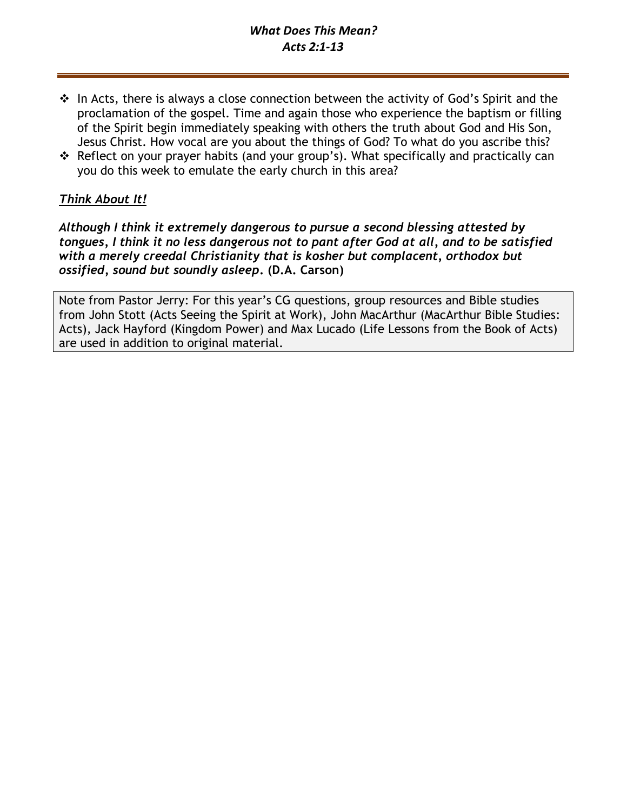# *What Does This Mean? Acts 2:1-13*

- ❖ In Acts, there is always a close connection between the activity of God's Spirit and the proclamation of the gospel. Time and again those who experience the baptism or filling of the Spirit begin immediately speaking with others the truth about God and His Son, Jesus Christ. How vocal are you about the things of God? To what do you ascribe this?
- ❖ Reflect on your prayer habits (and your group's). What specifically and practically can you do this week to emulate the early church in this area?

## *Think About It!*

*Although I think it extremely dangerous to pursue a second blessing attested by tongues, I think it no less dangerous not to pant after God at all, and to be satisfied with a merely creedal Christianity that is kosher but complacent, orthodox but ossified, sound but soundly asleep***. (D.A. Carson)**

Note from Pastor Jerry: For this year's CG questions, group resources and Bible studies from John Stott (Acts Seeing the Spirit at Work), John MacArthur (MacArthur Bible Studies: Acts), Jack Hayford (Kingdom Power) and Max Lucado (Life Lessons from the Book of Acts) are used in addition to original material.